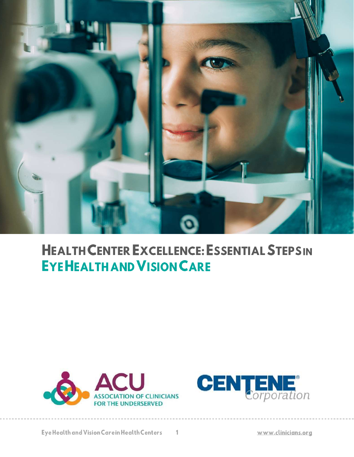

# **HEALTH CENTER EXCELLENCE: ESSENTIAL STEPSIN EYEHEALTH AND VISION CARE**



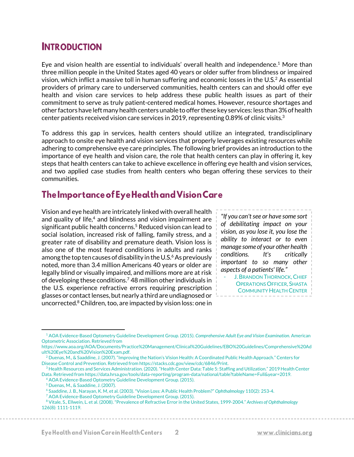# **INTRODUCTION**

Eye and vision health are essential to individuals' overall health and independence.<sup>1</sup> More than three million people in the United States aged 40 years or older suffer from blindness or impaired vision, which inflict a massive toll in human suffering and economic losses in the U.S.<sup>2</sup> As essential providers of primary care to underserved communities, health centers can and should offer eye health and vision care services to help address these public health issues as part of their commitment to serve as truly patient-centered medical homes. However, resource shortages and other factors have left many health centers unable to offer these key services: less than 3% of health center patients received vision care services in 2019, representing 0.89% of clinic visits.<sup>3</sup>

To address this gap in services, health centers should utilize an integrated, trandisciplinary approach to onsite eye health and vision services that properly leverages existing resources while adhering to comprehensive eye care principles. The following brief provides an introduction to the importance of eye health and vision care, the role that health centers can play in offering it, key steps that health centers can take to achieve excellence in offering eye health and vision services, and two applied case studies from health centers who began offering these services to their communities.

# The Importance of Eye Health and Vision Care

Vision and eye health are intricately linked with overall health and quality of life, $4$  and blindness and vision impairment are significant public health concerns.<sup>5</sup> Reduced vision can lead to social isolation, increased risk of falling, family stress, and a greater rate of disability and premature death. Vision loss is also one of the most feared conditions in adults and ranks among the top ten causes of disability in the U.S. $6$  As previously noted, more than 3.4 million Americans 40 years or older are legally blind or visually impaired, and millions more are at risk of developing these conditions.<sup>7</sup> 48 million other individuals in the U.S. experience refractive errors requiring prescription glasses or contact lenses, but nearly a third are undiagnosed or uncorrected.<sup>8</sup> Children, too, are impacted by vision loss: one in

*"If you can't see or have some sort of debilitating impact on your vision, as you lose it, you lose the ability to interact or to even manage some of your other health conditions. It's critically important to so many other aspects of a patients' life."*

**J. BRANDON THORNOCK, CHIEF** OPERATIONS OFFICER, SHASTA COMMUNITY HEALTH CENTER

 $\overline{2}$ 

<sup>1</sup> AOA Evidence-Based Optometry Guideline Development Group. (2015). *Comprehensive Adult Eye and Vision Examination.* American Optometric Association. Retrieved from

https://www.aoa.org/AOA/Documents/Practice%20Management/Clinical%20Guidelines/EBO%20Guidelines/Comprehensive%20Ad ult%20Eye%20and%20Vision%20Exam.pdf.

<sup>2</sup> Duenas, M., & Saaddine, J. (2007). "Improving the Nation's Vision Health: A Coordinated Public Health Approach." Centers for Disease Control and Prevention. Retrieved from https://stacks.cdc.gov/view/cdc/6846/Print.

<sup>3</sup> Health Resources and Services Administration. (2020). "Health Center Data: Table 5: Staffing and Utilization." 2019 Health Center Data. Retrieved from https://data.hrsa.gov/tools/data-reporting/program-data/national/table?tableName=Full&year=2019.

<sup>4</sup> AOA Evidence-Based Optometry Guideline Development Group. (2015).

<sup>5</sup> Duenas, M., & Saaddine, J. (2007).

<sup>6</sup> Saaddine, J. B., Narayan, K. M, et al. (2003). "Vision Loss: A Public Health Problem?" *Ophthalmology* 110(2): 253-4.

<sup>7</sup> AOA Evidence-Based Optometry Guideline Development Group. (2015).

<sup>8</sup> Vitale, S., Ellwein, L. et al. (2008). "Prevalence of Refractive Error in the United States, 1999-2004." *Archives of Ophthalmology*  126(8): 1111-1119.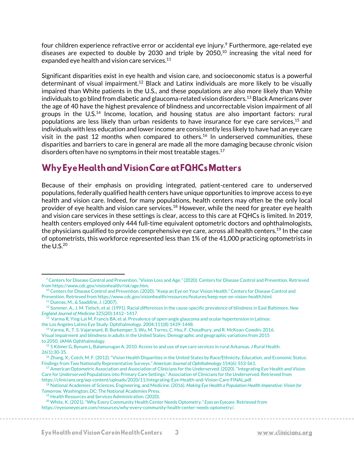four children experience refractive error or accidental eye injury.<sup>9</sup> Furthermore, age-related eye diseases are expected to double by 2030 and triple by 2050, <sup>10</sup> increasing the vital need for expanded eye health and vision care services.<sup>11</sup>

Significant disparities exist in eye health and vision care, and socioeconomic status is a powerful determinant of visual impairment.<sup>12</sup> Black and Latinx individuals are more likely to be visually impaired than White patients in the U.S., and these populations are also more likely than White individuals to go blind from diabetic and glaucoma-related vision disorders.<sup>13</sup> Black Americans over the age of 40 have the highest prevalence of blindness and uncorrectable vision impairment of all groups in the  $U.S.<sup>14</sup>$  Income, location, and housing status are also important factors: rural populations are less likely than urban residents to have insurance for eye care services, <sup>15</sup> and individuals with less education and lower income are consistently less likely to have had an eye care visit in the past 12 months when compared to others. <sup>16</sup> In underserved communities, these disparities and barriers to care in general are made all the more damaging because chronic vision disorders often have no symptoms in their most treatable stages.<sup>17</sup>

# Why Eye Health and Vision Care at FQHCs Matters

Because of their emphasis on providing integrated, patient-centered care to underserved populations, federally qualified health centers have unique opportunities to improve access to eye health and vision care. Indeed, for many populations, health centers may often be the only local provider of eye health and vision care services.<sup>18</sup> However, while the need for greater eye health and vision care services in these settings is clear, access to this care at FQHCs is limited. In 2019, health centers employed only 444 full-time equivalent optometric doctors and ophthalmologists, the physicians qualified to provide comprehensive eye care, across all health centers. <sup>19</sup> In the case of optometrists, this workforce represented less than 1% of the 41,000 practicing optometrists in the  $U.S.<sup>20</sup>$ 

<sup>9</sup> Centers for Disease Control and Prevention. "Vision Loss and Age." (2020). Centers for Disease Control and Prevention. Retrieved from https://www.cdc.gov/visionhealth/risk/age.htm.

<sup>10</sup> Centers for Disease Control and Prevention. (2020). "Keep an Eye on Your Vision Health." Centers for Disease Control and Prevention. Retrieved from https://www.cdc.gov/visionhealth/resources/features/keep-eye-on-vision-health.html.

<sup>11</sup> Duenas, M., & Saaddine, J. (2007).

<sup>12</sup> Sommer, A., J. M. Tielsch, et al. (1991). Racial differences in the cause-specific prevalence of blindness in East Baltimore. *New England Journal of Medicine* 325(20):1412–1417.

 $^{13}$  Varma R, Ying-Lai M, Francis BA, et al. Prevalence of open-angle glaucoma and ocular hypertension in Latinos: the Los Angeles Latino Eye Study. Ophthalmology. 2004;111(8):1439-1448.

<sup>14</sup> Varma, R., T. S. Vajaranant, B. Burkemper, S. Wu, M. Torres, C. Hsu, F. Choudhury, and R. McKean-Cowdin. 2016. Visual impairment and blindness in adults in the United States: Demographic and geographic variations from 2015 to 2050. JAMA Ophthalmology.

<sup>15</sup> 5 Kilmer G, Bynum L, Balamurugan A. 2010. Access to and use of eye care services in rural Arkansas. J Rural Health. 26(1):30‐35.

<sup>&</sup>lt;sup>16</sup> Zhang, X., Cotch, M. F. (2012). "Vision Health Disparities in the United States by Race/Ethnicity, Education, and Economic Status: Findings from Two Nationally Representative Surveys." *American Journal of Ophthalmology* 154(6): S53-S61.

 $17$  American Optometric Association and Association of Clinicians for the Underserved. (2020). "Integrating Eye Health and Vision Care for Underserved Populations into Primary Care Settings." Association of Clinicians for the Underserved. Retrieved from https://clinicians.org/wp-content/uploads/2020/11/Integrating-Eye-Health-and-Vision-Care-FINAL.pdf.

<sup>18</sup> National Academies of Sciences, Engineering, and Medicine. (2016). *Making Eye Health a Population Health Imperative: Vision for Tomorrow.* Washington, DC: The National Academies Press.

<sup>19</sup> Health Resources and Services Administration. (2020).

<sup>20</sup> White, K. (2021). "Why Every Community Health Center Needs Optometry." *Eyes on Eyecare*. Retrieved from https://eyesoneyecare.com/resources/why-every-community-health-center-needs-optometry/.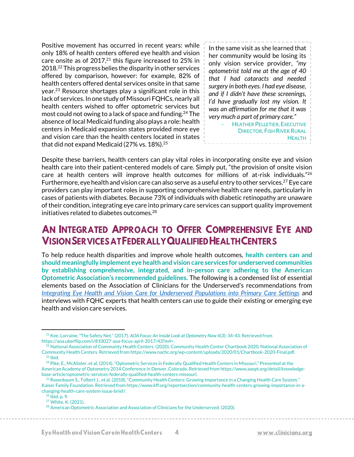Positive movement has occurred in recent years: while only 18% of health centers offered eye health and vision care onsite as of 2017, $21$  this figure increased to 25% in 2018.<sup>22</sup> This progress belies the disparity in other services offered by comparison, however: for example, 82% of health centers offered dental services onsite in that same year.<sup>23</sup> Resource shortages play a significant role in this lack of services. In one study of Missouri FQHCs, nearly all health centers wished to offer optometric services but most could not owing to a lack of space and funding.<sup>24</sup> The absence of local Medicaid funding also plays a role: health centers in Medicaid expansion states provided more eye and vision care than the health centers located in states that did not expand Medicaid (27% vs. 18%).<sup>25</sup>

In the same visit as she learned that her community would be losing its only vision service provider, *"my optometrist told me at the age of 40 that I had cataracts and needed surgery in both eyes. I had eye disease, and if I didn't have these screenings, I'd have gradually lost my vision. It was an affirmation for me that it was very much a part of primary care."*

> HEATHER PELLETIER, EXECUTIVE DIRECTOR, FISH RIVER RURAL **HEALTH**

Despite these barriers, health centers can play vital roles in incorporating onsite eye and vision health care into their patient-centered models of care. Simply put, "the provision of onsite vision care at health centers will improve health outcomes for millions of at-risk individuals."<sup>26</sup> Furthermore, eye health and vision care can also serve as a useful entry to other services.<sup>27</sup> Eye care providers can play important roles in supporting comprehensive health care needs, particularly in cases of patients with diabetes. Because 73% of individuals with diabetic retinopathy are unaware of their condition, integrating eye care into primary care services can support quality improvement initiatives related to diabetes outcomes.<sup>28</sup>

# AN INTEGRATED APPROACH TO OFFER COMPREHENSIVE EYE AND **VISION SER VICES AT FEDER ALLY QUALIFIED HEALTH CENTERS**

To help reduce health disparities and improve whole health outcomes, **health centers can and should meaningfully implement eye health and vision care services for underserved communities by establishing comprehensive, integrated, and in-person care adhering to the American Optometric Association's recommended guidelines.** The following is a condensed list of essential elements based on the Association of Clinicians for the Underserved's recommendations from *[Integrating Eye Health and Vision Care for Underserved Populations into Primary Care Settings](https://clinicians.org/wp-content/uploads/2020/11/Integrating-Eye-Health-and-Vision-Care-FINAL.pdf)* and interviews with FQHC experts that health centers can use to guide their existing or emerging eye health and vision care services.

<sup>21</sup> Kee, Lorraine. "The Safety Net." (2017). *AOA Focus: An Inside Look at Optometry Now* 4(3): 34-43. Retrieved from https://aoa.uberflip.com/i/810027-aoa-focus-april-2017/43?m4=.

<sup>&</sup>lt;sup>22</sup> National Association of Community Health Centers. (2020). Community Health Center Chartbook 2020. National Association of Community Health Centers. Retrieved from https://www.nachc.org/wp-content/uploads/2020/01/Chartbook-2020-Final.pdf.  $23$  Ibid.

<sup>&</sup>lt;sup>24</sup> Pike, E., McAlister, et al. (2014). "Optometric Services in Federally Qualified Health Centers in Missouri." Presented at the American Academy of Optometry 2014 Conference in Denver, Colorado. Retrieved from https://www.aaopt.org/detail/knowledgebase-article/optometric-services-federally-qualified-health-centers-missouri.

<sup>&</sup>lt;sup>25</sup> Rosenbaum S., Tolbert J., et al. (2018). "Community Health Centers: Growing Importance in a Changing Health Care System." Kaiser Family Foundation. Retrieved from https://www.kff.org/reportsection/community-health-centers-growing-importance-in-achanging-health-care-system-issue-brief/.

<sup>26</sup> Ibid. p. 9.

<sup>27</sup> White, K. (2021).

<sup>&</sup>lt;sup>28</sup> American Optometric Association and Association of Clinicians for the Underserved. (2020).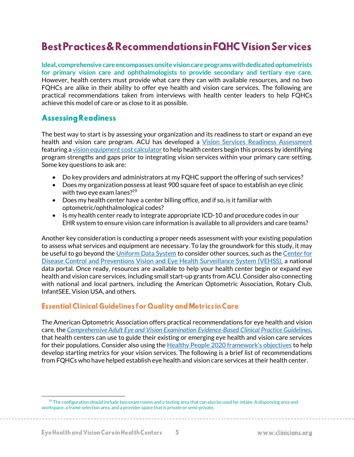# **Best Practices & Recommendations in FQHC Vision Services**

**Ideal, comprehensive care encompasses onsite vision care programs with dedicated optometrists for primary vision care and ophthalmologists to provide secondary and tertiary eye care.** However, health centers must provide what care they can with available resources, and no two FQHCs are alike in their ability to offer eye health and vision care services. The following are practical recommendations taken from interviews with health center leaders to help FQHCs achieve this model of care or as close to it as possible.

#### **Assessing Readiness**

The best way to start is by assessing your organization and its readiness to start or expand an eye health and vision care program. ACU has developed a *[Vision Services Readiness Assessment](http://forms.logiforms.com/formdata/user_forms/68725_123124/377979/page1.html?cachebust=5050)* featuring a [vision equipment cost calculator](https://clinicians.org/wp-content/uploads/2021/01/Cost-Calculator.xlsx) to help health centers begin this process by identifying program strengths and gaps prior to integrating vision services within your primary care setting. Some key questions to ask are:

- Do key providers and administrators at my FQHC support the offering of such services?
- Does my organization possess at least 900 square feet of space to establish an eye clinic with two eye exam lanes? $29$
- Does my health center have a center billing office, and if so, is it familiar with optometric/ophthalmological codes?
- Is my health center ready to integrate appropriate ICD-10 and procedure codes in our EHR system to ensure vision care information is available to all providers and care teams?

Another key consideration is conducting a proper needs assessment with your existing population to assess what services and equipment are necessary. To lay the groundwork for this study, it may be useful to go beyond the [Uniform Data System](https://bphc.hrsa.gov/datareporting/reporting/index.html) to consider other sources, such as the Center for [Disease Control and Preventions Vision and Eye Health Surveillance System \(VEHSS\),](https://www.cdc.gov/visionhealth/vehss/) a national data portal. Once ready, resources are available to help your health center begin or expand eye health and vision care services, including small start-up grants from ACU. Consider also connecting with national and local partners, including the American Optometric Association, Rotary Club, InfantSEE, Vision USA, and others.

#### **Essential Clinical Guidelines for Quality and Metrics in Care**

The American Optometric Association offers practical recommendations for eye health and vision care, the *[Comprehensive Adult Eye and Vision Examination Evidence-Based Clinical Practice Guidelines,](https://www.aoa.org/AOA/Documents/Practice%20Management/Clinical%20Guidelines/EBO%20Guidelines/Comprehensive%20Adult%20Eye%20and%20Vision%20Exam.pdf)*  that health centers can use to guide their existing or emerging eye health and vision care services for their populations. Consider also using the [Healthy People 2020 framework's objectives](https://www.healthypeople.gov/2020/topics-objectives/topic/vision) to help develop starting metrics for your vision services. The following is a brief list of recommendations from FQHCs who have helped establish eye health and vision care services at their health center.

 $^{29}$  The configuration should include two exam rooms and a testing area that can also be used for intake. A dispensing area and workspace, a frame selection area, and a provider space that is private or semi-private.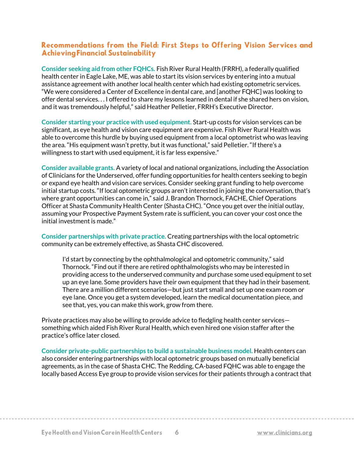#### Recommendations from the Field: First Steps to Offering Vision Services and **Achieving Financial Sustainability**

**Consider seeking aid from other FQHCs.** Fish River Rural Health (FRRH), a federally qualified health center in Eagle Lake, ME, was able to start its vision services by entering into a mutual assistance agreement with another local health center which had existing optometric services. "We were considered a Center of Excellence in dental care, and [another FQHC] was looking to offer dental services. . . I offered to share my lessons learned in dental if she shared hers on vision, and it was tremendously helpful," said Heather Pelletier, FRRH's Executive Director.

**Consider starting your practice with used equipment.** Start-up costs for vision services can be significant, as eye health and vision care equipment are expensive. Fish River Rural Health was able to overcome this hurdle by buying used equipment from a local optometrist who was leaving the area. "His equipment wasn't pretty, but it was functional," said Pelletier. "If there's a willingness to start with used equipment, it is far less expensive."

**Consider available grants.** A variety of local and national organizations, including the Association of Clinicians for the Underserved, offer funding opportunities for health centers seeking to begin or expand eye health and vision care services. Consider seeking grant funding to help overcome initial startup costs. "If local optometric groups aren't interested in joining the conversation, that's where grant opportunities can come in," said J. Brandon Thornock, FACHE, Chief Operations Officer at Shasta Community Health Center (Shasta CHC). "Once you get over the initial outlay, assuming your Prospective Payment System rate is sufficient, you can cover your cost once the initial investment is made."

**Consider partnerships with private practice.** Creating partnerships with the local optometric community can be extremely effective, as Shasta CHC discovered.

I'd start by connecting by the ophthalmological and optometric community," said Thornock. "Find out if there are retired ophthalmologists who may be interested in providing access to the underserved community and purchase some used equipment to set up an eye lane. Some providers have their own equipment that they had in their basement. There are a million different scenarios—but just start small and set up one exam room or eye lane. Once you get a system developed, learn the medical documentation piece, and see that, yes, you can make this work, grow from there.

Private practices may also be willing to provide advice to fledgling health center services something which aided Fish River Rural Health, which even hired one vision staffer after the practice's office later closed.

**Consider private-public partnerships to build a sustainable business model.** Health centers can also consider entering partnerships with local optometric groups based on mutually beneficial agreements, as in the case of Shasta CHC. The Redding, CA-based FQHC was able to engage the locally based Access Eye group to provide vision services for their patients through a contract that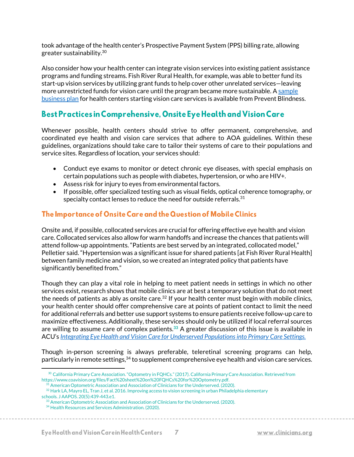took advantage of the health center's Prospective Payment System (PPS) billing rate, allowing greater sustainability. $^{\rm 30}$ 

Also consider how your health center can integrate vision services into existing patient assistance programs and funding streams. Fish River Rural Health, for example, was able to better fund its start-up vision services by utilizing grant funds to help cover other unrelated services—leaving more unrestricted funds for vision care until the program became more sustainable. [A sample](https://cvph.preventblindness.org/wp-content/uploads/sites/21/2021/06/Integrating-vision-services-FINAL.pdf)  [business plan](https://cvph.preventblindness.org/wp-content/uploads/sites/21/2021/06/Integrating-vision-services-FINAL.pdf) for health centers starting vision care services is available from Prevent Blindness.

# Best Practices in Comprehensive, Onsite Eye Health and Vision Care

Whenever possible, health centers should strive to offer permanent, comprehensive, and coordinated eye health and vision care services that adhere to AOA guidelines. Within these guidelines, organizations should take care to tailor their systems of care to their populations and service sites. Regardless of location, your services should:

- Conduct eye exams to monitor or detect chronic eye diseases, with special emphasis on certain populations such as people with diabetes, hypertension, or who are HIV+.
- Assess risk for injury to eyes from environmental factors.
- If possible, offer specialized testing such as visual fields, optical coherence tomography, or specialty contact lenses to reduce the need for outside referrals. $^{31}$

### The Importance of Onsite Care and the Question of Mobile Clinics

Onsite and, if possible, collocated services are crucial for offering effective eye health and vision care. Collocated services also allow for warm handoffs and increase the chances that patients will attend follow-up appointments. "Patients are best served by an integrated, collocated model," Pelletier said. "Hypertension was a significant issue for shared patients [at Fish River Rural Health] between family medicine and vision, so we created an integrated policy that patients have significantly benefited from."

Though they can play a vital role in helping to meet patient needs in settings in which no other services exist, research shows that mobile clinics are at best a temporary solution that do not meet the needs of patients as ably as onsite care.<sup>32</sup> If your health center must begin with mobile clinics, your health center should offer comprehensive care at points of patient contact to limit the need for additional referrals and better use support systems to ensure patients receive follow-up care to maximize effectiveness. Additionally, these services should only be utilized if local referral sources are willing to assume care of complex patients.**<sup>33</sup>** A greater discussion of this issue is available in ACU's *[Integrating Eye Health and Vision Care for Underserved Populations into Primary Care Settings.](https://clinicians.org/wp-content/uploads/2020/11/Integrating-Eye-Health-and-Vision-Care-FINAL.pdf)*

Though in-person screening is always preferable, teleretinal screening programs can help, particularly in remote settings,<sup>34</sup> to supplement comprehensive eye health and vision care services.

<sup>30</sup> California Primary Care Association. "Optometry in FQHCs." (2017). California Primary Care Association. Retrieved from https://www.coavision.org/files/Fact%20sheet%20on%20FQHCs%20for%20Optometry.pdf.

 $31$  American Optometric Association and Association of Clinicians for the Underserved. (2020).

<sup>32</sup> Hark LA, Mayro EL, Tran J, et al. 2016. Improving access to vision screening in urban Philadelphia elementary schools. J AAPOS. 20(5):439‐443.e1.

<sup>&</sup>lt;sup>33</sup> American Optometric Association and Association of Clinicians for the Underserved. (2020).

<sup>34</sup> Health Resources and Services Administration. (2020).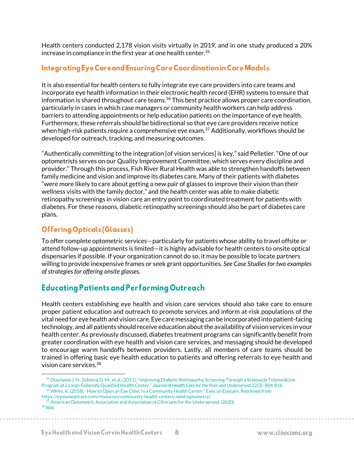Health centers conducted 2,178 vision visits virtually in 2019, and in one study produced a 20% increase in compliance in the first year at one health center.  $35$ 

#### Integrating Eye Care and Ensuring Care Coordination in Care Models

It is also essential for health centers to fully integrate eye care providers into care teams and incorporate eye health information in their electronic health record (EHR) systems to ensure that information is shared throughout care teams. <sup>36</sup> This best practice allows proper care coordination, particularly in cases in which case managers or community health workers can help address barriers to attending appointments or help education patients on the importance of eye health. Furthermore, these referrals should be bidirectional so that eye care providers receive notice when high-risk patients require a comprehensive eye exam.<sup>37</sup> Additionally, workflows should be developed for outreach, tracking, and measuring outcomes.

"Authentically committing to the integration [of vision services] is key," said Pelletier. "One of our optometrists serves on our Quality Improvement Committee, which serves every discipline and provider." Through this process, Fish River Rural Health was able to strengthen handoffs between family medicine and vision and improve its diabetes care. Many of their patients with diabetes "were more likely to care about getting a new pair of glasses to improve their vision than their wellness visits with the family doctor," and the health center was able to make diabetic retinopathy screenings in vision care an entry point to coordinated treatment for patients with diabetes. For these reasons, diabetic retinopathy screenings should also be part of diabetes care plans.

### **Offering Opticals (Glasses)**

To offer complete optometric services—particularly for patients whose ability to travel offsite or attend follow-up appointments is limited—it is highly advisable for health centers to onsite optical dispensaries if possible. If your organization cannot do so, it may be possible to locate partners willing to provide inexpensive frames or seek grant opportunities. *See Case Studies for two examples of strategies for offering onsite glasses.*

### **Educating Patients and Performing Outreach**

Health centers establishing eye health and vision care services should also take care to ensure proper patient education and outreach to promote services and inform at-risk populations of the vital need for eye health and vision care. Eye care messaging can be incorporated into patient-facing technology, and all patients should receive education about the availability of vision services in your health center. As previously discussed, diabetes treatment programs can significantly benefit from greater coordination with eye health and vision care services, and messaging should be developed to encourage warm handoffs between providers. Lastly, all members of care teams should be trained in offering basic eye health education to patients and offering referrals to eye health and vision care services.<sup>38</sup>

<sup>35</sup> Olayiwola J. N., Sobieraj D. M., et al. (2011). "Improving Diabetic Retinopathy Screening Through a Statewide Telemedicine Program at a Large Federally Qualified Health Center." *Journal of Health Care for the Poor and Underserved* 22(3): 804‐816. <sup>36</sup> White, K. (2018). "How to Open an Eye Clinic in a Community Health Center." Eyes on Eyecare. Retrieved from https://eyesoneyecare.com/resources/community-health-centers-need-optometry/.

<sup>&</sup>lt;sup>37</sup> American Optometric Association and Association of Clinicians for the Underserved. (2020). <sup>38</sup> Ibid.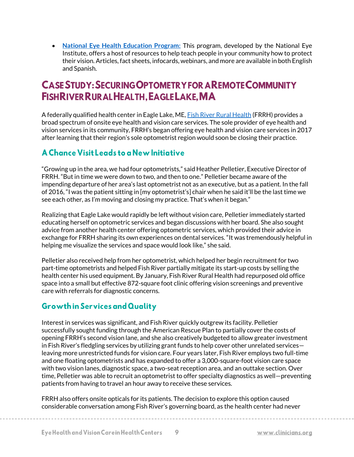• **[National Eye Health Education Program:](https://www.nei.nih.gov/learn-about-eye-health/outreach-campaigns-and-resources/national-eye-health-education-program)** This program, developed by the National Eye Institute, offers a host of resources to help teach people in your community how to protect their vision. Articles, fact sheets, infocards, webinars, and more are available in both English and Spanish.

# **CASE STUDY: SECURING OPTOMETRY FOR A REMOTE COMMUNITY** FISHRIVER RURAL HEALTH, EAGLE LAKE, MA

A federally qualified health center in Eagle Lake, ME, [Fish River Rural Health](http://www.frrh.org/) (FRRH) provides a broad spectrum of onsite eye health and vision care services. The sole provider of eye health and vision services in its community, FRRH's began offering eye health and vision care services in 2017 after learning that their region's sole optometrist region would soon be closing their practice.

# A Chance Visit Leads to a New Initiative

"Growing up in the area, we had four optometrists," said Heather Pelletier, Executive Director of FRRH. "But in time we were down to two, and then to one." Pelletier became aware of the impending departure of her area's last optometrist not as an executive, but as a patient. In the fall of 2016, "I was the patient sitting in [my optometrist's] chair when he said it'll be the last time we see each other, as I'm moving and closing my practice. That's when it began."

Realizing that Eagle Lake would rapidly be left without vision care, Pelletier immediately started educating herself on optometric services and began discussions with her board. She also sought advice from another health center offering optometric services, which provided their advice in exchange for FRRH sharing its own experiences on dental services. "It was tremendously helpful in helping me visualize the services and space would look like," she said.

Pelletier also received help from her optometrist, which helped her begin recruitment for two part-time optometrists and helped Fish River partially mitigate its start-up costs by selling the health center his used equipment. By January, Fish River Rural Health had repurposed old office space into a small but effective 872-square foot clinic offering vision screenings and preventive care with referrals for diagnostic concerns.

### **Growthin Services and Quality**

Interest in services was significant, and Fish River quickly outgrew its facility. Pelletier successfully sought funding through the American Rescue Plan to partially cover the costs of opening FRRH's second vision lane, and she also creatively budgeted to allow greater investment in Fish River's fledgling services by utilizing grant funds to help cover other unrelated services leaving more unrestricted funds for vision care. Four years later, Fish River employs two full-time and one floating optometrists and has expanded to offer a 3,000-square-foot vision care space with two vision lanes, diagnostic space, a two-seat reception area, and an outtake section. Over time, Pelletier was able to recruit an optometrist to offer specialty diagnostics as well—preventing patients from having to travel an hour away to receive these services.

FRRH also offers onsite opticals for its patients. The decision to explore this option caused considerable conversation among Fish River's governing board, as the health center had never

9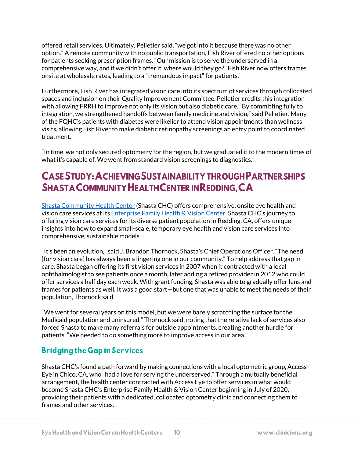offered retail services. Ultimately, Pelletier said, "we got into it because there was no other option." A remote community with no public transportation, Fish River offered no other options for patients seeking prescription frames. "Our mission is to serve the underserved in a comprehensive way, and if we didn't offer it, where would they go?" Fish River now offers frames onsite at wholesale rates, leading to a "tremendous impact" for patients.

Furthermore, Fish River has integrated vision care into its spectrum of services through collocated spaces and inclusion on their Quality Improvement Committee. Pelletier credits this integration with allowing FRRH to improve not only its vision but also diabetic care. "By committing fully to integration, we strengthened handoffs between family medicine and vision," said Pelletier. Many of the FQHC's patients with diabetes were likelier to attend vision appointments than wellness visits, allowing Fish River to make diabetic retinopathy screenings an entry point to coordinated treatment.

"In time, we not only secured optometry for the region, but we graduated it to the modern times of what it's capable of. We went from standard vision screenings to diagnostics."

# CASE STUDY: ACHIEVING SUSTAINABILITY THROUGHPARTNER SHIPS **SHASTA COMMUNITY HEALTH CENTER IN REDDING. CA**

[Shasta Community Health Center](https://www.shastahealth.org/) (Shasta CHC) offers comprehensive, onsite eye health and vision care services at it[s Enterprise Family Health & Vision Center](https://www.shastahealth.org/vision-services). Shasta CHC's journey to offering vision care services for its diverse patient population in Redding, CA, offers unique insights into how to expand small-scale, temporary eye health and vision care services into comprehensive, sustainable models.

"It's been an evolution," said J. Brandon Thornock, Shasta's Chief Operations Officer. "The need [for vision care] has always been a lingering one in our community." To help address that gap in care, Shasta began offering its first vision services in 2007 when it contracted with a local ophthalmologist to see patients once a month, later adding a retired provider in 2012 who could offer services a half day each week. With grant funding, Shasta was able to gradually offer lens and frames for patients as well. It was a good start—but one that was unable to meet the needs of their population, Thornock said.

"We went for several years on this model, but we were barely scratching the surface for the Medicaid population and uninsured," Thornock said, noting that the relative lack of services also forced Shasta to make many referrals for outside appointments, creating another hurdle for patients. "We needed to do something more to improve access in our area."

# **Bridging the Gap in Services**

Shasta CHC's found a path forward by making connections with a local optometric group, Access Eye in Chico, CA, who "had a love for serving the underserved." Through a mutually beneficial arrangement, the health center contracted with Access Eye to offer services in what would become Shasta CHC's Enterprise Family Health & Vision Center beginning in July of 2020, providing their patients with a dedicated, collocated optometry clinic and connecting them to frames and other services.